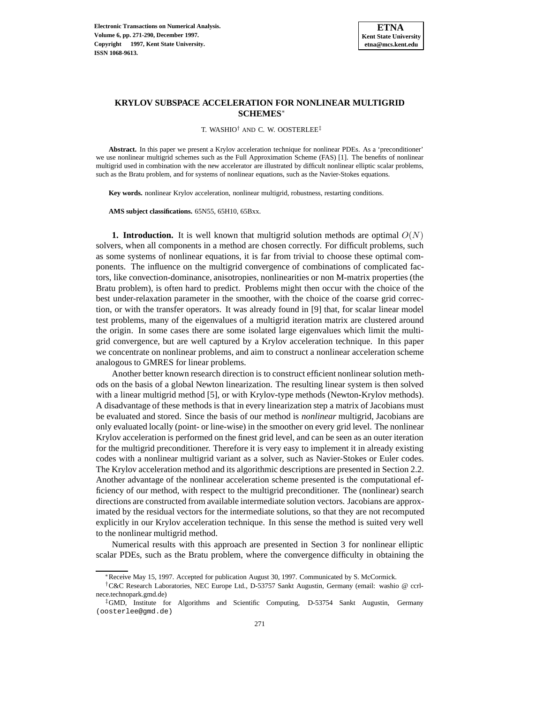

# **KRYLOV SUBSPACE ACCELERATION FOR NONLINEAR MULTIGRID SCHEMES**<sup>∗</sup>

T. WASHIO† AND C. W. OOSTERLEE‡

**Abstract.** In this paper we present a Krylov acceleration technique for nonlinear PDEs. As a 'preconditioner' we use nonlinear multigrid schemes such as the Full Approximation Scheme (FAS) [1]. The benefits of nonlinear multigrid used in combination with the new accelerator are illustrated by difficult nonlinear elliptic scalar problems, such as the Bratu problem, and for systems of nonlinear equations, such as the Navier-Stokes equations.

**Key words.** nonlinear Krylov acceleration, nonlinear multigrid, robustness, restarting conditions.

**AMS subject classifications.** 65N55, 65H10, 65Bxx.

**1. Introduction.** It is well known that multigrid solution methods are optimal  $O(N)$ solvers, when all components in a method are chosen correctly. For difficult problems, such as some systems of nonlinear equations, it is far from trivial to choose these optimal components. The influence on the multigrid convergence of combinations of complicated factors, like convection-dominance, anisotropies, nonlinearities or non M-matrix properties (the Bratu problem), is often hard to predict. Problems might then occur with the choice of the best under-relaxation parameter in the smoother, with the choice of the coarse grid correction, or with the transfer operators. It was already found in [9] that, for scalar linear model test problems, many of the eigenvalues of a multigrid iteration matrix are clustered around the origin. In some cases there are some isolated large eigenvalues which limit the multigrid convergence, but are well captured by a Krylov acceleration technique. In this paper we concentrate on nonlinear problems, and aim to construct a nonlinear acceleration scheme analogous to GMRES for linear problems.

Another better known research direction is to construct efficient nonlinear solution methods on the basis of a global Newton linearization. The resulting linear system is then solved with a linear multigrid method [5], or with Krylov-type methods (Newton-Krylov methods). A disadvantage of these methods is that in every linearization step a matrix of Jacobians must be evaluated and stored. Since the basis of our method is *nonlinear* multigrid, Jacobians are only evaluated locally (point- or line-wise) in the smoother on every grid level. The nonlinear Krylov acceleration is performed on the finest grid level, and can be seen as an outer iteration for the multigrid preconditioner. Therefore it is very easy to implement it in already existing codes with a nonlinear multigrid variant as a solver, such as Navier-Stokes or Euler codes. The Krylov acceleration method and its algorithmic descriptions are presented in Section 2.2. Another advantage of the nonlinear acceleration scheme presented is the computational efficiency of our method, with respect to the multigrid preconditioner. The (nonlinear) search directions are constructed from available intermediate solution vectors. Jacobians are approximated by the residual vectors for the intermediate solutions, so that they are not recomputed explicitly in our Krylov acceleration technique. In this sense the method is suited very well to the nonlinear multigrid method.

Numerical results with this approach are presented in Section 3 for nonlinear elliptic scalar PDEs, such as the Bratu problem, where the convergence difficulty in obtaining the

<sup>∗</sup>Receive May 15, 1997. Accepted for publication August 30, 1997. Communicated by S. McCormick.

<sup>†</sup>C&C Research Laboratories, NEC Europe Ltd., D-53757 Sankt Augustin, Germany (email: washio @ ccrlnece.technopark.gmd.de)

<sup>‡</sup>GMD, Institute for Algorithms and Scientific Computing, D-53754 Sankt Augustin, Germany (oosterlee@gmd.de)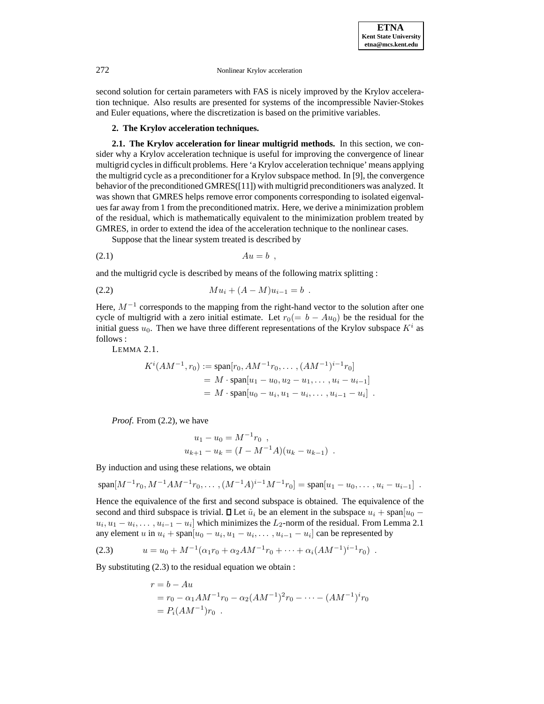second solution for certain parameters with FAS is nicely improved by the Krylov acceleration technique. Also results are presented for systems of the incompressible Navier-Stokes and Euler equations, where the discretization is based on the primitive variables.

#### **2. The Krylov acceleration techniques.**

**2.1. The Krylov acceleration for linear multigrid methods.** In this section, we consider why a Krylov acceleration technique is useful for improving the convergence of linear multigrid cycles in difficult problems. Here 'a Krylov acceleration technique' means applying the multigrid cycle as a preconditioner for a Krylov subspace method. In [9], the convergence behavior of the preconditioned GMRES([11]) with multigrid preconditioners was analyzed. It was shown that GMRES helps remove error components corresponding to isolated eigenvalues far away from 1 from the preconditioned matrix. Here, we derive a minimization problem of the residual, which is mathematically equivalent to the minimization problem treated by GMRES, in order to extend the idea of the acceleration technique to the nonlinear cases.

Suppose that the linear system treated is described by

$$
(2.1) \t\t\t Au = b ,
$$

and the multigrid cycle is described by means of the following matrix splitting :

$$
(2.2) \t\t\t M u_i + (A - M)u_{i-1} = b.
$$

Here,  $M^{-1}$  corresponds to the mapping from the right-hand vector to the solution after one cycle of multigrid with a zero initial estimate. Let  $r_0(= b - Au_0)$  be the residual for the initial guess  $u_0$ . Then we have three different representations of the Krylov subspace  $K^i$  as follows :

LEMMA 2.1.

$$
K^{i}(AM^{-1}, r_0) := \text{span}[r_0, AM^{-1}r_0, \dots, (AM^{-1})^{i-1}r_0]
$$
  
=  $M \cdot \text{span}[u_1 - u_0, u_2 - u_1, \dots, u_i - u_{i-1}]$   
=  $M \cdot \text{span}[u_0 - u_i, u_1 - u_i, \dots, u_{i-1} - u_i]$ .

*Proof*. From (2.2), we have

$$
u_1 - u_0 = M^{-1}r_0 ,
$$
  

$$
u_{k+1} - u_k = (I - M^{-1}A)(u_k - u_{k-1}) .
$$

By induction and using these relations, we obtain

 $\text{span}[M^{-1}r_0, M^{-1}AM^{-1}r_0, \dots, (M^{-1}A)^{i-1}M^{-1}r_0] = \text{span}[u_1 - u_0, \dots, u_i - u_{i-1}]$ .

Hence the equivalence of the first and second subspace is obtained. The equivalence of the second and third subspace is trivial.  $\Box$  Let  $\tilde{u}_i$  be an element in the subspace  $u_i + \text{span}[u_0$  $u_i, u_1 - u_i, \ldots, u_{i-1} - u_i$  which minimizes the L<sub>2</sub>-norm of the residual. From Lemma 2.1 any element u in  $u_i$  + span $[u_0 - u_i, u_1 - u_i, \dots, u_{i-1} - u_i]$  can be represented by

$$
(2.3) \t u = u_0 + M^{-1}(\alpha_1 r_0 + \alpha_2 AM^{-1}r_0 + \dots + \alpha_i (AM^{-1})^{i-1}r_0) .
$$

By substituting (2.3) to the residual equation we obtain :

$$
r = b - Au
$$
  
=  $r_0 - \alpha_1 AM^{-1}r_0 - \alpha_2 (AM^{-1})^2 r_0 - \dots - (AM^{-1})^i r_0$   
=  $P_i (AM^{-1}) r_0$ .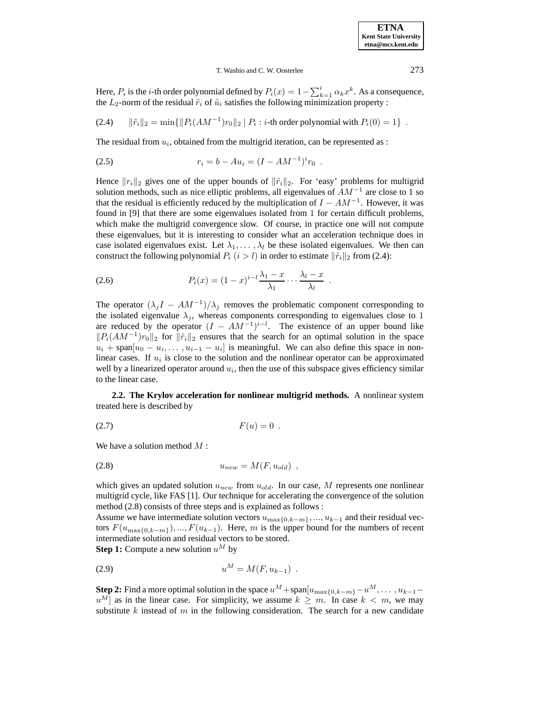## T. Washio and C. W. Oosterlee 273

Here,  $P_i$  is the *i*-th order polynomial defined by  $P_i(x)=1-\sum_{k=1}^i \alpha_k x^k$ . As a consequence, the  $L_2$ -norm of the residual  $\tilde{r}_i$  of  $\tilde{u}_i$  satisfies the following minimization property :

(2.4)  $\|\tilde{r}_i\|_2 = \min\{\|P_i(AM^{-1})r_0\|_2 \mid P_i : i\text{-th order polynomial with } P_i(0) = 1\}$ .

The residual from  $u_i$ , obtained from the multigrid iteration, can be represented as :

(2.5) 
$$
r_i = b - Au_i = (I - AM^{-1})^i r_0.
$$

Hence  $||r_i||_2$  gives one of the upper bounds of  $||\tilde{r}_i||_2$ . For 'easy' problems for multigrid solution methods, such as nice elliptic problems, all eigenvalues of  $AM^{-1}$  are close to 1 so that the residual is efficiently reduced by the multiplication of  $I - AM^{-1}$ . However, it was found in [9] that there are some eigenvalues isolated from 1 for certain difficult problems, which make the multigrid convergence slow. Of course, in practice one will not compute these eigenvalues, but it is interesting to consider what an acceleration technique does in case isolated eigenvalues exist. Let  $\lambda_1, \ldots, \lambda_l$  be these isolated eigenvalues. We then can construct the following polynomial  $P_i$  ( $i>l$ ) in order to estimate  $\|\tilde{r}_i\|_2$  from (2.4):

$$
(2.6) \t\t P_i(x) = (1-x)^{i-l} \frac{\lambda_1 - x}{\lambda_1} \cdots \frac{\lambda_l - x}{\lambda_l} .
$$

The operator  $(\lambda_j I - AM^{-1})/\lambda_j$  removes the problematic component corresponding to the isolated eigenvalue  $\lambda_j$ , whereas components corresponding to eigenvalues close to 1 are reduced by the operator  $(I - AM^{-1})^{i-l}$ . The existence of an upper bound like  $||P_i(AM^{-1})r_0||_2$  for  $||\tilde{r}_i||_2$  ensures that the search for an optimal solution in the space  $u_i$  + span $[u_0 - u_i, \dots, u_{i-1} - u_i]$  is meaningful. We can also define this space in nonlinear cases. If  $u_i$  is close to the solution and the nonlinear operator can be approximated well by a linearized operator around  $u_i$ , then the use of this subspace gives efficiency similar to the linear case.

**2.2. The Krylov acceleration for nonlinear multigrid methods.** A nonlinear system treated here is described by

$$
(2.7) \t\t\t F(u) = 0.
$$

We have a solution method  $M$ :

$$
(2.8) \t\t u_{new} = M(F, u_{old}) ,
$$

which gives an updated solution  $u_{new}$  from  $u_{old}$ . In our case, M represents one nonlinear multigrid cycle, like FAS [1]. Our technique for accelerating the convergence of the solution method (2.8) consists of three steps and is explained as follows :

Assume we have intermediate solution vectors  $u_{\max\{0,k-m\}}$ , ...,  $u_{k-1}$  and their residual vectors  $F(u_{\max\{0,k-m\}}),...,F(u_{k-1})$ . Here, m is the upper bound for the numbers of recent intermediate solution and residual vectors to be stored.

**Step 1:** Compute a new solution  $u^M$  by

$$
(2.9) \t\t uM = M(F, uk-1) .
$$

**Step 2:** Find a more optimal solution in the space  $u^M$  +span $[u_{\max{0,k-m}}-u^M,\ldots,u_{k-1}-u^M]$  $u^M$ ] as in the linear case. For simplicity, we assume  $k \geq m$ . In case  $k < m$ , we may substitute k instead of m in the following consideration. The search for a new candidate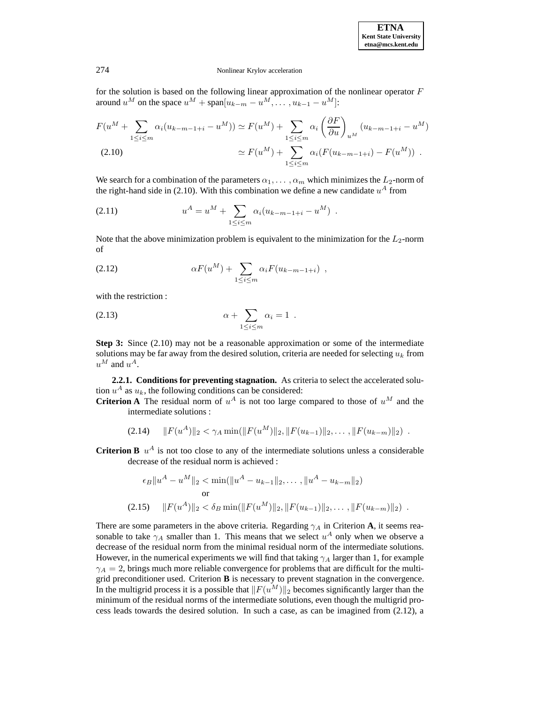for the solution is based on the following linear approximation of the nonlinear operator  $F$ around  $u^M$  on the space  $u^M$  + span $[u_{k-m} - u^M, \dots, u_{k-1} - u^M]$ :

$$
F(u^{M} + \sum_{1 \leq i \leq m} \alpha_{i}(u_{k-m-1+i} - u^{M})) \simeq F(u^{M}) + \sum_{1 \leq i \leq m} \alpha_{i} \left(\frac{\partial F}{\partial u}\right)_{u^{M}} (u_{k-m-1+i} - u^{M})
$$
  
(2.10)  

$$
\simeq F(u^{M}) + \sum_{1 \leq i \leq m} \alpha_{i} (F(u_{k-m-1+i}) - F(u^{M})) .
$$

We search for a combination of the parameters  $\alpha_1, \ldots, \alpha_m$  which minimizes the  $L_2$ -norm of the right-hand side in (2.10). With this combination we define a new candidate  $u^A$  from

(2.11) 
$$
u^{A} = u^{M} + \sum_{1 \leq i \leq m} \alpha_{i} (u_{k-m-1+i} - u^{M}).
$$

Note that the above minimization problem is equivalent to the minimization for the  $L_2$ -norm of

(2.12) 
$$
\alpha F(u^M) + \sum_{1 \le i \le m} \alpha_i F(u_{k-m-1+i}),
$$

with the restriction :

$$
\alpha + \sum_{1 \leq i \leq m} \alpha_i = 1 \; .
$$

**Step 3:** Since (2.10) may not be a reasonable approximation or some of the intermediate solutions may be far away from the desired solution, criteria are needed for selecting  $u_k$  from  $u^M$  and  $u^A$ .

**2.2.1. Conditions for preventing stagnation.** As criteria to select the accelerated solution  $u^A$  as  $u_k$ , the following conditions can be considered:

**Criterion A** The residual norm of  $u^A$  is not too large compared to those of  $u^M$  and the intermediate solutions :

$$
(2.14) \quad ||F(u^A)||_2 < \gamma_A \min(||F(u^M)||_2, ||F(u_{k-1})||_2, \dots, ||F(u_{k-m})||_2) \ .
$$

**Criterion B**  $u^A$  is not too close to any of the intermediate solutions unless a considerable decrease of the residual norm is achieved :

$$
\epsilon_B \|u^A - u^M\|_2 < \min(\|u^A - u_{k-1}\|_2, \dots, \|u^A - u_{k-m}\|_2)
$$
\nor

\n
$$
(2.15) \quad \|F(u^A)\|_2 < \delta_B \min(\|F(u^M)\|_2, \|F(u_{k-1})\|_2, \dots, \|F(u_{k-m})\|_2) \; .
$$

There are some parameters in the above criteria. Regarding  $\gamma_A$  in Criterion **A**, it seems reasonable to take  $\gamma_A$  smaller than 1. This means that we select  $u^A$  only when we observe a decrease of the residual norm from the minimal residual norm of the intermediate solutions. However, in the numerical experiments we will find that taking  $\gamma_A$  larger than 1, for example  $\gamma_A = 2$ , brings much more reliable convergence for problems that are difficult for the multigrid preconditioner used. Criterion **B** is necessary to prevent stagnation in the convergence. In the multigrid process it is a possible that  $||F(u^M)||_2$  becomes significantly larger than the minimum of the residual norms of the intermediate solutions, even though the multigrid process leads towards the desired solution. In such a case, as can be imagined from (2.12), a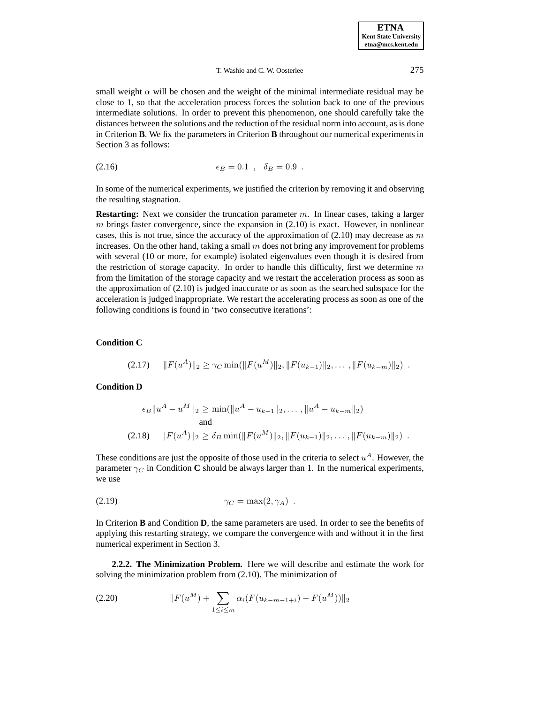small weight  $\alpha$  will be chosen and the weight of the minimal intermediate residual may be close to 1, so that the acceleration process forces the solution back to one of the previous intermediate solutions. In order to prevent this phenomenon, one should carefully take the distances between the solutions and the reduction of the residual norm into account, as is done in Criterion **B**. We fix the parameters in Criterion **B** throughout our numerical experiments in Section 3 as follows:

(2.16) 
$$
\epsilon_B = 0.1 \ , \ \delta_B = 0.9 \ .
$$

In some of the numerical experiments, we justified the criterion by removing it and observing the resulting stagnation.

**Restarting:** Next we consider the truncation parameter m. In linear cases, taking a larger  $m$  brings faster convergence, since the expansion in  $(2.10)$  is exact. However, in nonlinear cases, this is not true, since the accuracy of the approximation of  $(2.10)$  may decrease as m increases. On the other hand, taking a small  $m$  does not bring any improvement for problems with several (10 or more, for example) isolated eigenvalues even though it is desired from the restriction of storage capacity. In order to handle this difficulty, first we determine  $m$ from the limitation of the storage capacity and we restart the acceleration process as soon as the approximation of (2.10) is judged inaccurate or as soon as the searched subspace for the acceleration is judged inappropriate. We restart the accelerating process as soon as one of the following conditions is found in 'two consecutive iterations':

# **Condition C**

$$
(2.17) \quad ||F(u^A)||_2 \ge \gamma_C \min(||F(u^M)||_2, ||F(u_{k-1})||_2, \dots, ||F(u_{k-m})||_2) \; .
$$

# **Condition D**

$$
\epsilon_B \|u^A - u^M\|_2 \ge \min(\|u^A - u_{k-1}\|_2, \dots, \|u^A - u_{k-m}\|_2)
$$
  
and  
(2.18) 
$$
\|F(u^A)\|_2 \ge \delta_B \min(\|F(u^M)\|_2, \|F(u_{k-1})\|_2, \dots, \|F(u_{k-m})\|_2).
$$

These conditions are just the opposite of those used in the criteria to select  $u^A$ . However, the parameter  $\gamma_C$  in Condition **C** should be always larger than 1. In the numerical experiments, we use

$$
\gamma_C = \max(2, \gamma_A) .
$$

In Criterion **B** and Condition **D**, the same parameters are used. In order to see the benefits of applying this restarting strategy, we compare the convergence with and without it in the first numerical experiment in Section 3.

**2.2.2. The Minimization Problem.** Here we will describe and estimate the work for solving the minimization problem from (2.10). The minimization of

(2.20) 
$$
||F(u^M) + \sum_{1 \le i \le m} \alpha_i (F(u_{k-m-1+i}) - F(u^M))||_2
$$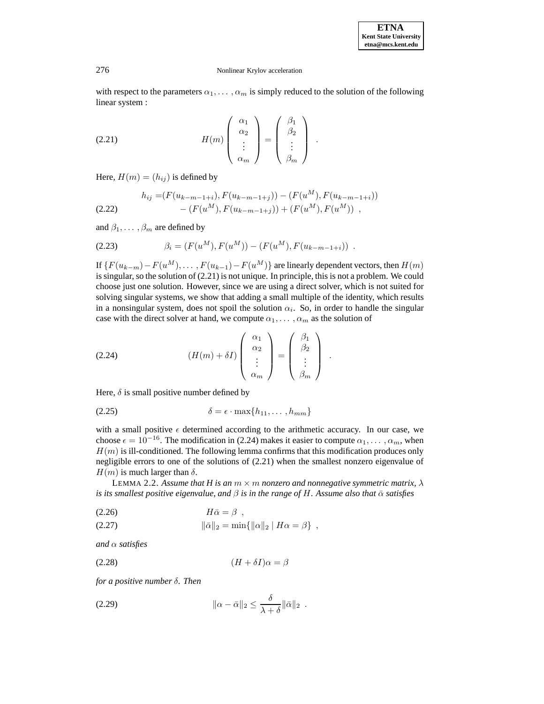with respect to the parameters  $\alpha_1, \dots, \alpha_m$  is simply reduced to the solution of the following linear system :

(2.21) 
$$
H(m) \begin{pmatrix} \alpha_1 \\ \alpha_2 \\ \vdots \\ \alpha_m \end{pmatrix} = \begin{pmatrix} \beta_1 \\ \beta_2 \\ \vdots \\ \beta_m \end{pmatrix} .
$$

Here,  $H(m)=(h_{ij} )$  is defined by

$$
h_{ij} = (F(u_{k-m-1+i}), F(u_{k-m-1+j})) - (F(u^M), F(u_{k-m-1+i}))
$$
  
(2.22) 
$$
- (F(u^M), F(u_{k-m-1+j})) + (F(u^M), F(u^M)),
$$

and  $\beta_1, \ldots, \beta_m$  are defined by

(2.23) 
$$
\beta_i = (F(u^M), F(u^M)) - (F(u^M), F(u_{k-m-1+i})) .
$$

If  $\{F(u_{k-m})-F(u^M),\ldots,F(u_{k-1})-F(u^M)\}\$  are linearly dependent vectors, then  $H(m)$ is singular, so the solution of (2.21) is not unique. In principle, this is not a problem. We could choose just one solution. However, since we are using a direct solver, which is not suited for solving singular systems, we show that adding a small multiple of the identity, which results in a nonsingular system, does not spoil the solution  $\alpha_i$ . So, in order to handle the singular case with the direct solver at hand, we compute  $\alpha_1, \dots, \alpha_m$  as the solution of

(2.24) 
$$
(H(m) + \delta I) \begin{pmatrix} \alpha_1 \\ \alpha_2 \\ \vdots \\ \alpha_m \end{pmatrix} = \begin{pmatrix} \beta_1 \\ \beta_2 \\ \vdots \\ \beta_m \end{pmatrix}.
$$

Here,  $\delta$  is small positive number defined by

$$
\delta = \epsilon \cdot \max\{h_{11}, \dots, h_{mm}\}\
$$

with a small positive  $\epsilon$  determined according to the arithmetic accuracy. In our case, we choose  $\epsilon = 10^{-16}$ . The modification in (2.24) makes it easier to compute  $\alpha_1, \dots, \alpha_m$ , when  $H(m)$  is ill-conditioned. The following lemma confirms that this modification produces only negligible errors to one of the solutions of (2.21) when the smallest nonzero eigenvalue of  $H(m)$  is much larger than  $\delta$ .

LEMMA 2.2. Assume that H is an  $m \times m$  nonzero and nonnegative symmetric matrix,  $\lambda$ *is its smallest positive eigenvalue, and*  $\beta$  *is in the range of H. Assume also that*  $\bar{\alpha}$  *satisfies* 

(2.26) Hα¯ = β ,

(2.27) 
$$
\|\bar{\alpha}\|_2 = \min\{\|\alpha\|_2 \mid H\alpha = \beta\},
$$

*and* α *satisfies*

$$
(2.28)\qquad \qquad (H+\delta I)\alpha = \beta
$$

*for a positive number* δ*. Then*

kα − α¯k<sup>2</sup> ≤ δ <sup>λ</sup> <sup>+</sup> <sup>δ</sup> (2.29) <sup>k</sup>α¯k<sup>2</sup> .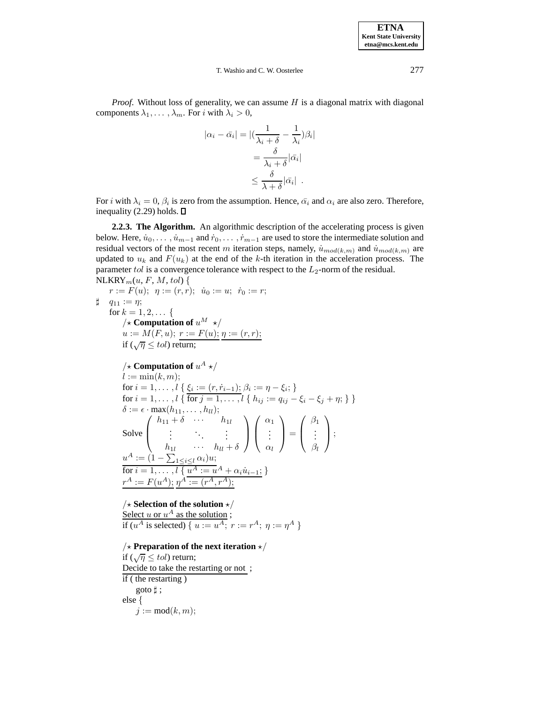*Proof.* Without loss of generality, we can assume H is a diagonal matrix with diagonal components  $\lambda_1, \ldots, \lambda_m$ . For i with  $\lambda_i > 0$ ,

$$
|\alpha_i - \bar{\alpha}_i| = |(\frac{1}{\lambda_i + \delta} - \frac{1}{\lambda_i})\beta_i|
$$
  
= 
$$
\frac{\delta}{\lambda_i + \delta} |\bar{\alpha}_i|
$$
  

$$
\leq \frac{\delta}{\lambda + \delta} |\bar{\alpha}_i|.
$$

For i with  $\lambda_i = 0$ ,  $\beta_i$  is zero from the assumption. Hence,  $\bar{\alpha}_i$  and  $\alpha_i$  are also zero. Therefore, inequality (2.29) holds.  $\square$ 

**2.2.3. The Algorithm.** An algorithmic description of the accelerating process is given below. Here,  $\dot{u}_0, \ldots, \dot{u}_{m-1}$  and  $\dot{r}_0, \ldots, \dot{r}_{m-1}$  are used to store the intermediate solution and residual vectors of the most recent m iteration steps, namely,  $\dot{u}_{mod(k,m)}$  and  $\dot{u}_{mod(k,m)}$  are updated to  $u_k$  and  $F(u_k)$  at the end of the k-th iteration in the acceleration process. The parameter tol is a convergence tolerance with respect to the  $L_2$ -norm of the residual.  $NLRRY<sub>m</sub>(u, F, M, tol)$  {

r := F(u); η := (r,r); ˙u<sup>0</sup> := u; ˙r<sup>0</sup> := r; ] q<sup>11</sup> := η; for k = 1, 2,... { /? **Computation of** u<sup>M</sup> ?/ u := M(F,u); r := F(u); η := (r,r); if (√<sup>η</sup> <sup>≤</sup> tol) return; /? **Computation of** u<sup>A</sup> ?/ l := min(k,m); for i = 1,...,l { ξ<sup>i</sup> := (r, r˙<sup>i</sup>−<sup>1</sup>); β<sup>i</sup> := η − ξi; } for i = 1,...,l { for j = 1,...,l { hij := qij − ξ<sup>i</sup> − ξ<sup>j</sup> + η; } } δ := · max(h11,...,hll); Solve h<sup>11</sup> + δ ··· h1<sup>l</sup> . . . ... . . . h1<sup>l</sup> ··· hll + δ α1 . . . αl <sup>=</sup> β1 . . . βl ; u<sup>A</sup> := (1 − P <sup>1</sup>≤i≤<sup>l</sup> αi)u; for i = 1,...,l { u<sup>A</sup> := u<sup>A</sup> + αiu˙ <sup>i</sup>−<sup>1</sup>; } r<sup>A</sup> := F(u<sup>A</sup>); η<sup>A</sup> := (r<sup>A</sup>,r<sup>A</sup>);

 $\frac{1}{2} \times$  **Selection of the solution**  $\frac{1}{2}$  / Select u or  $u^A$  as the solution; if ( $u^A$  is selected) {  $u := u^A$ ;  $r := r^A$ ;  $\eta := \eta^A$  }

# $\frac{1}{2} \times$  Preparation of the next iteration  $\frac{1}{2} \times$

if  $(\sqrt{\eta} \leq tol)$  return; Decide to take the restarting or not ; if ( the restarting ) goto  $\sharp$ ; else {  $j := \text{mod}(k, m);$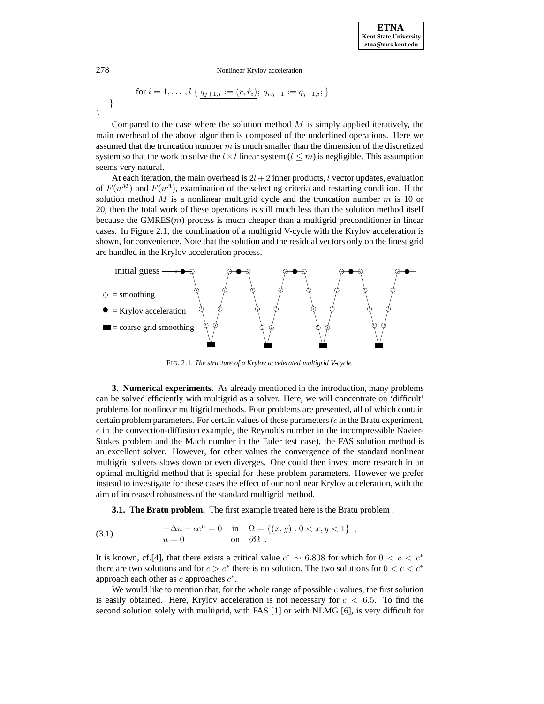$$
\text{for } i = 1, \dots, l \{ \underline{q_{j+1,i}} := (r, \dot{r}_i); \ q_{i,j+1} := q_{j+1,i}; \}
$$

Compared to the case where the solution method  $M$  is simply applied iteratively, the main overhead of the above algorithm is composed of the underlined operations. Here we assumed that the truncation number  $m$  is much smaller than the dimension of the discretized system so that the work to solve the  $l \times l$  linear system ( $l \leq m$ ) is negligible. This assumption seems very natural.

At each iteration, the main overhead is  $2l + 2$  inner products, l vector updates, evaluation of  $F(u^M)$  and  $F(u^A)$ , examination of the selecting criteria and restarting condition. If the solution method M is a nonlinear multigrid cycle and the truncation number  $m$  is 10 or 20, then the total work of these operations is still much less than the solution method itself because the  $GMRES(m)$  process is much cheaper than a multigrid preconditioner in linear cases. In Figure 2.1, the combination of a multigrid V-cycle with the Krylov acceleration is shown, for convenience. Note that the solution and the residual vectors only on the finest grid are handled in the Krylov acceleration process.



FIG. 2.1. *The structure of a Krylov accelerated multigrid V-cycle.*

**3. Numerical experiments.** As already mentioned in the introduction, many problems can be solved efficiently with multigrid as a solver. Here, we will concentrate on 'difficult' problems for nonlinear multigrid methods. Four problems are presented, all of which contain certain problem parameters. For certain values of these parameters  $(c$  in the Bratu experiment,  $\epsilon$  in the convection-diffusion example, the Reynolds number in the incompressible Navier-Stokes problem and the Mach number in the Euler test case), the FAS solution method is an excellent solver. However, for other values the convergence of the standard nonlinear multigrid solvers slows down or even diverges. One could then invest more research in an optimal multigrid method that is special for these problem parameters. However we prefer instead to investigate for these cases the effect of our nonlinear Krylov acceleration, with the aim of increased robustness of the standard multigrid method.

**3.1. The Bratu problem.** The first example treated here is the Bratu problem :

(3.1) 
$$
-\Delta u - ce^u = 0 \text{ in } \Omega = \{(x, y) : 0 < x, y < 1\},
$$

$$
u = 0 \text{ on } \partial\Omega.
$$

It is known, cf.[4], that there exists a critical value  $c^* \sim 6.808$  for which for  $0 < c < c^*$ there are two solutions and for  $c>c^*$  there is no solution. The two solutions for  $0 < c < c^*$ approach each other as c approaches  $c^*$ .

We would like to mention that, for the whole range of possible  $c$  values, the first solution is easily obtained. Here, Krylov acceleration is not necessary for  $c < 6.5$ . To find the second solution solely with multigrid, with FAS [1] or with NLMG [6], is very difficult for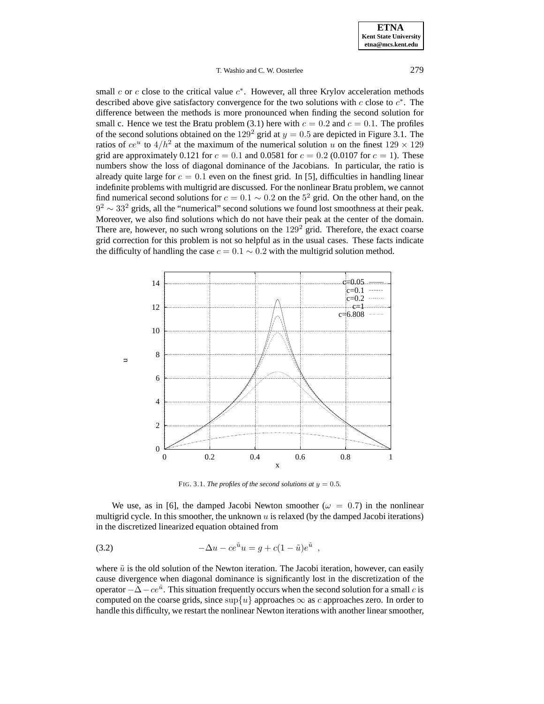small  $c$  or  $c$  close to the critical value  $c<sup>*</sup>$ . However, all three Krylov acceleration methods described above give satisfactory convergence for the two solutions with  $c$  close to  $c^*$ . The difference between the methods is more pronounced when finding the second solution for small c. Hence we test the Bratu problem (3.1) here with  $c = 0.2$  and  $c = 0.1$ . The profiles of the second solutions obtained on the  $129^2$  grid at  $y = 0.5$  are depicted in Figure 3.1. The ratios of  $ce^u$  to  $4/h^2$  at the maximum of the numerical solution u on the finest  $129 \times 129$ grid are approximately 0.121 for  $c = 0.1$  and 0.0581 for  $c = 0.2$  (0.0107 for  $c = 1$ ). These numbers show the loss of diagonal dominance of the Jacobians. In particular, the ratio is already quite large for  $c = 0.1$  even on the finest grid. In [5], difficulties in handling linear indefinite problems with multigrid are discussed. For the nonlinear Bratu problem, we cannot find numerical second solutions for  $c = 0.1 \sim 0.2$  on the 5<sup>2</sup> grid. On the other hand, on the  $9<sup>2</sup> \sim 33<sup>2</sup>$  grids, all the "numerical" second solutions we found lost smoothness at their peak. Moreover, we also find solutions which do not have their peak at the center of the domain. There are, however, no such wrong solutions on the  $129<sup>2</sup>$  grid. Therefore, the exact coarse grid correction for this problem is not so helpful as in the usual cases. These facts indicate the difficulty of handling the case  $c = 0.1 \sim 0.2$  with the multigrid solution method.



FIG. 3.1. *The profiles of the second solutions at*  $y = 0.5$ *.* 

We use, as in [6], the damped Jacobi Newton smoother ( $\omega = 0.7$ ) in the nonlinear multigrid cycle. In this smoother, the unknown  $u$  is relaxed (by the damped Jacobi iterations) in the discretized linearized equation obtained from

(3.2) 
$$
-\Delta u - ce^{\tilde{u}}u = g + c(1 - \tilde{u})e^{\tilde{u}},
$$

where  $\tilde{u}$  is the old solution of the Newton iteration. The Jacobi iteration, however, can easily cause divergence when diagonal dominance is significantly lost in the discretization of the operator  $-\Delta - ce^{\tilde{u}}$ . This situation frequently occurs when the second solution for a small c is computed on the coarse grids, since  $\sup\{u\}$  approaches  $\infty$  as c approaches zero. In order to handle this difficulty, we restart the nonlinear Newton iterations with another linear smoother,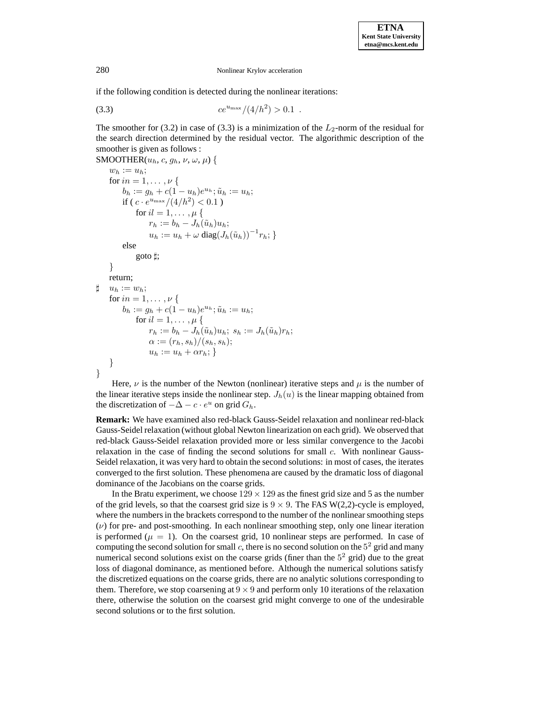if the following condition is detected during the nonlinear iterations:

$$
(3.3) \t ce^{u_{\max}}/(4/h^2) > 0.1 .
$$

The smoother for (3.2) in case of (3.3) is a minimization of the  $L_2$ -norm of the residual for the search direction determined by the residual vector. The algorithmic description of the smoother is given as follows :

```
SMOOTHER(u_h, c, g_h, \nu, \omega, \mu) {
     w_h := u_h;for in = 1, \ldots, \nu {
          b_h := g_h + c(1 - u_h)e^{u_h}; \tilde{u}_h := u_h;if ( c \cdot e^{u_{\text{max}}}/(4/h^2) < 0.1)
               for il = 1, \ldots, \mu {
                    r_h := b_h - J_h(\tilde{u}_h)u_h;u_h := u_h + \omega \operatorname{diag}(J_h(\tilde u_h))^{-1} r_h;else
               goto \sharp;
     }
    return;
\sharp u_h := w_h;
     for in = 1, \ldots, \nu {
          b_h := g_h + c(1 - u_h)e^{u_h}; \tilde{u}_h := u_h;for il = 1, \ldots, \mu {
                    r_h := b_h - J_h(\tilde{u}_h)u_h; s_h := J_h(\tilde{u}_h)r_h;\alpha := (r_h, s_h)/(s_h, s_h);u_h := u_h + \alpha r_h;}
}
```
Here,  $\nu$  is the number of the Newton (nonlinear) iterative steps and  $\mu$  is the number of the linear iterative steps inside the nonlinear step.  $J_h(u)$  is the linear mapping obtained from the discretization of  $-\Delta - c \cdot e^u$  on grid  $G_h$ .

**Remark:** We have examined also red-black Gauss-Seidel relaxation and nonlinear red-black Gauss-Seidel relaxation (without global Newton linearization on each grid). We observed that red-black Gauss-Seidel relaxation provided more or less similar convergence to the Jacobi relaxation in the case of finding the second solutions for small c. With nonlinear Gauss-Seidel relaxation, it was very hard to obtain the second solutions: in most of cases, the iterates converged to the first solution. These phenomena are caused by the dramatic loss of diagonal dominance of the Jacobians on the coarse grids.

In the Bratu experiment, we choose  $129 \times 129$  as the finest grid size and 5 as the number of the grid levels, so that the coarsest grid size is  $9 \times 9$ . The FAS W(2,2)-cycle is employed, where the numbers in the brackets correspond to the number of the nonlinear smoothing steps  $(\nu)$  for pre- and post-smoothing. In each nonlinear smoothing step, only one linear iteration is performed ( $\mu = 1$ ). On the coarsest grid, 10 nonlinear steps are performed. In case of computing the second solution for small c, there is no second solution on the  $5<sup>2</sup>$  grid and many numerical second solutions exist on the coarse grids (finer than the  $5<sup>2</sup>$  grid) due to the great loss of diagonal dominance, as mentioned before. Although the numerical solutions satisfy the discretized equations on the coarse grids, there are no analytic solutions corresponding to them. Therefore, we stop coarsening at  $9 \times 9$  and perform only 10 iterations of the relaxation there, otherwise the solution on the coarsest grid might converge to one of the undesirable second solutions or to the first solution.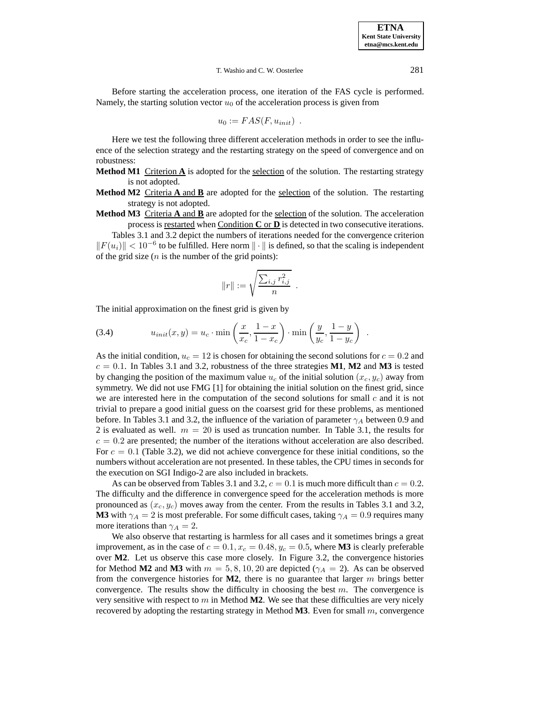Before starting the acceleration process, one iteration of the FAS cycle is performed. Namely, the starting solution vector  $u_0$  of the acceleration process is given from

$$
u_0 := FAS(F, u_{init}) .
$$

Here we test the following three different acceleration methods in order to see the influence of the selection strategy and the restarting strategy on the speed of convergence and on robustness:

- **Method M1** Criterion  $\bf{A}$  is adopted for the selection of the solution. The restarting strategy is not adopted.
- **Method M2** Criteria **A** and **B** are adopted for the selection of the solution. The restarting strategy is not adopted.
- **Method M3** Criteria **A** and **B** are adopted for the selection of the solution. The acceleration process is restarted when Condition **C** or **D** is detected in two consecutive iterations.

Tables 3.1 and 3.2 depict the numbers of iterations needed for the convergence criterion  $||F(u_i)|| < 10^{-6}$  to be fulfilled. Here norm  $||\cdot||$  is defined, so that the scaling is independent of the grid size  $(n$  is the number of the grid points):

$$
||r|| := \sqrt{\frac{\sum_{i,j} r_{i,j}^2}{n}}.
$$

The initial approximation on the finest grid is given by

(3.4) 
$$
u_{init}(x,y) = u_c \cdot \min\left(\frac{x}{x_c}, \frac{1-x}{1-x_c}\right) \cdot \min\left(\frac{y}{y_c}, \frac{1-y}{1-y_c}\right) .
$$

As the initial condition,  $u_c = 12$  is chosen for obtaining the second solutions for  $c = 0.2$  and  $c = 0.1$ . In Tables 3.1 and 3.2, robustness of the three strategies **M1**, **M2** and **M3** is tested by changing the position of the maximum value  $u_c$  of the initial solution  $(x_c, y_c)$  away from symmetry. We did not use FMG [1] for obtaining the initial solution on the finest grid, since we are interested here in the computation of the second solutions for small  $c$  and it is not trivial to prepare a good initial guess on the coarsest grid for these problems, as mentioned before. In Tables 3.1 and 3.2, the influence of the variation of parameter  $\gamma_A$  between 0.9 and 2 is evaluated as well.  $m = 20$  is used as truncation number. In Table 3.1, the results for  $c = 0.2$  are presented; the number of the iterations without acceleration are also described. For  $c = 0.1$  (Table 3.2), we did not achieve convergence for these initial conditions, so the numbers without acceleration are not presented. In these tables, the CPU times in seconds for the execution on SGI Indigo-2 are also included in brackets.

As can be observed from Tables 3.1 and 3.2,  $c = 0.1$  is much more difficult than  $c = 0.2$ . The difficulty and the difference in convergence speed for the acceleration methods is more pronounced as  $(x_c, y_c)$  moves away from the center. From the results in Tables 3.1 and 3.2, **M3** with  $\gamma_A = 2$  is most preferable. For some difficult cases, taking  $\gamma_A = 0.9$  requires many more iterations than  $\gamma_A = 2$ .

We also observe that restarting is harmless for all cases and it sometimes brings a great improvement, as in the case of  $c = 0.1$ ,  $x_c = 0.48$ ,  $y_c = 0.5$ , where **M3** is clearly preferable over **M2**. Let us observe this case more closely. In Figure 3.2, the convergence histories for Method **M2** and **M3** with  $m = 5, 8, 10, 20$  are depicted ( $\gamma_A = 2$ ). As can be observed from the convergence histories for **M2**, there is no guarantee that larger m brings better convergence. The results show the difficulty in choosing the best  $m$ . The convergence is very sensitive with respect to  $m$  in Method  $M2$ . We see that these difficulties are very nicely recovered by adopting the restarting strategy in Method **M3**. Even for small m, convergence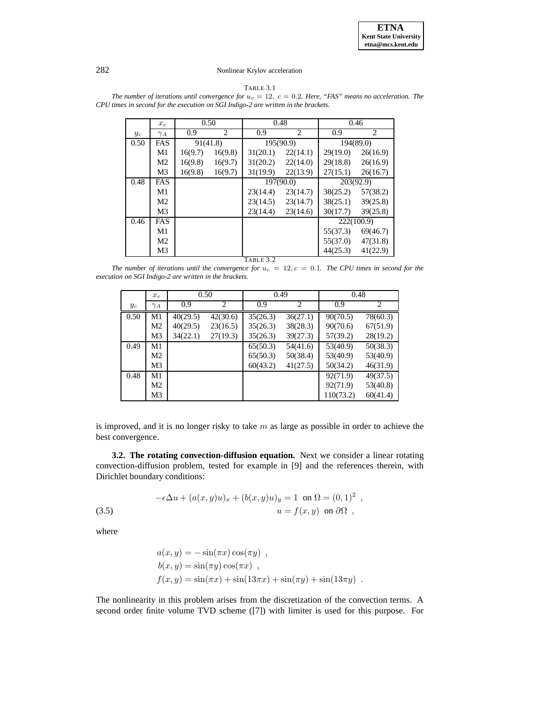

TABLE 3.1

*The number of iterations until convergence for*  $u_c = 12$ ,  $c = 0.2$ *. Here, "FAS" means no acceleration. The CPU times in second for the execution on SGI Indigo-2 are written in the brackets.*

|           | $x_c$          | 0.50     |         | 0.48      |                | 0.46       |          |  |  |  |
|-----------|----------------|----------|---------|-----------|----------------|------------|----------|--|--|--|
| $y_c$     | $\gamma_A$     | 0.9      | 2       | 0.9       | $\overline{c}$ | 0.9        | 2        |  |  |  |
| 0.50      | FAS            | 91(41.8) |         | 195(90.9) |                | 194(89.0)  |          |  |  |  |
|           | M1             | 16(9.7)  | 16(9.8) | 31(20.1)  | 22(14.1)       | 29(19.0)   | 26(16.9) |  |  |  |
|           | M <sub>2</sub> | 16(9.8)  | 16(9.7) | 31(20.2)  | 22(14.0)       | 29(18.8)   | 26(16.9) |  |  |  |
|           | M <sub>3</sub> | 16(9.8)  | 16(9.7) | 31(19.9)  | 22(13.9)       | 27(15.1)   | 26(16.7) |  |  |  |
| 0.48      | FAS            |          |         | 197(90.0) |                | 203(92.9)  |          |  |  |  |
|           | M1             |          |         | 23(14.4)  | 23(14.7)       | 38(25.2)   | 57(38.2) |  |  |  |
|           | M <sub>2</sub> |          |         | 23(14.5)  | 23(14.7)       | 38(25.1)   | 39(25.8) |  |  |  |
|           | M <sub>3</sub> |          |         | 23(14.4)  | 23(14.6)       | 30(17.7)   | 39(25.8) |  |  |  |
| 0.46      | FAS            |          |         |           |                | 222(100.9) |          |  |  |  |
|           | M1             |          |         |           |                | 55(37.3)   | 69(46.7) |  |  |  |
|           | M <sub>2</sub> |          |         |           |                | 55(37.0)   | 47(31.8) |  |  |  |
|           | M3             |          |         |           |                | 44(25.3)   | 41(22.9) |  |  |  |
| TABLE 3.2 |                |          |         |           |                |            |          |  |  |  |

*The number of iterations until the convergence for*  $u_c = 12$ ,  $c = 0.1$ *. The CPU times in second for the execution on SGI Indigo-2 are written in the brackets.*

|       | $x_c$      | 0.50     |                | 0.49     |          | 0.48      |                |
|-------|------------|----------|----------------|----------|----------|-----------|----------------|
| $y_c$ | $\gamma_A$ | 0.9      | $\mathfrak{D}$ | 0.9      | 2        | 0.9       | $\mathfrak{D}$ |
| 0.50  | M1         | 40(29.5) | 42(30.6)       | 35(26.3) | 36(27.1) | 90(70.5)  | 78(60.3)       |
|       | M2         | 40(29.5) | 23(16.5)       | 35(26.3) | 38(28.3) | 90(70.6)  | 67(51.9)       |
|       | M3         | 34(22.1) | 27(19.3)       | 35(26.3) | 39(27.3) | 57(39.2)  | 28(19.2)       |
| 0.49  | M1         |          |                | 65(50.3) | 54(41.6) | 53(40.9)  | 50(38.3)       |
|       | M2         |          |                | 65(50.3) | 50(38.4) | 53(40.9)  | 53(40.9)       |
|       | M3         |          |                | 60(43.2) | 41(27.5) | 50(34.2)  | 46(31.9)       |
| 0.48  | M1         |          |                |          |          | 92(71.9)  | 49(37.5)       |
|       | M2         |          |                |          |          | 92(71.9)  | 53(40.8)       |
|       | M3         |          |                |          |          | 110(73.2) | 60(41.4)       |

is improved, and it is no longer risky to take  $m$  as large as possible in order to achieve the best convergence.

**3.2. The rotating convection-diffusion equation.** Next we consider a linear rotating convection-diffusion problem, tested for example in [9] and the references therein, with Dirichlet boundary conditions:

(3.5) 
$$
-\epsilon \Delta u + (a(x, y)u)_x + (b(x, y)u)_y = 1 \text{ on } \Omega = (0, 1)^2,
$$

$$
u = f(x, y) \text{ on } \partial\Omega,
$$

where

$$
a(x, y) = -\sin(\pi x)\cos(\pi y)
$$
,  
\n
$$
b(x, y) = \sin(\pi y)\cos(\pi x)
$$
,  
\n
$$
f(x, y) = \sin(\pi x) + \sin(13\pi x) + \sin(\pi y) + \sin(13\pi y)
$$
.

The nonlinearity in this problem arises from the discretization of the convection terms. A second order finite volume TVD scheme ([7]) with limiter is used for this purpose. For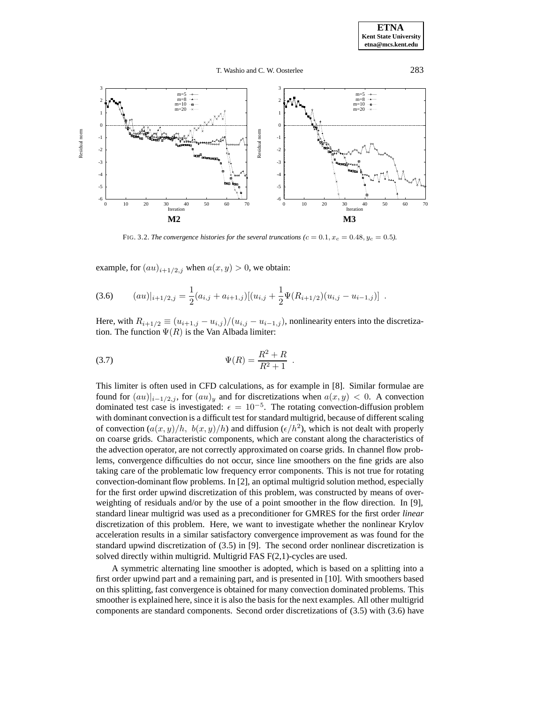

FIG. 3.2. *The convergence histories for the several truncations (c = 0.1, x<sub>c</sub> = 0.48, y<sub>c</sub> = 0.5).* 

example, for  $(au)_{i+1/2,j}$  when  $a(x,y) > 0$ , we obtain:

$$
(3.6) \qquad (au)|_{i+1/2,j} = \frac{1}{2}(a_{i,j} + a_{i+1,j})[(u_{i,j} + \frac{1}{2}\Psi(R_{i+1/2})(u_{i,j} - u_{i-1,j})].
$$

Here, with  $R_{i+1/2} \equiv (u_{i+1,j} - u_{i,j})/(u_{i,j} - u_{i-1,j})$ , nonlinearity enters into the discretization. The function  $\Psi(R)$  is the Van Albada limiter:

(3.7) 
$$
\Psi(R) = \frac{R^2 + R}{R^2 + 1} \ .
$$

This limiter is often used in CFD calculations, as for example in [8]. Similar formulae are found for  $(au)|_{i-1/2,j}$ , for  $(au)_y$  and for discretizations when  $a(x,y) < 0$ . A convection dominated test case is investigated:  $\epsilon = 10^{-5}$ . The rotating convection-diffusion problem with dominant convection is a difficult test for standard multigrid, because of different scaling of convection  $(a(x,y)/h, b(x,y)/h)$  and diffusion  $(\epsilon/h^2)$ , which is not dealt with properly on coarse grids. Characteristic components, which are constant along the characteristics of the advection operator, are not correctly approximated on coarse grids. In channel flow problems, convergence difficulties do not occur, since line smoothers on the fine grids are also taking care of the problematic low frequency error components. This is not true for rotating convection-dominant flow problems. In [2], an optimal multigrid solution method, especially for the first order upwind discretization of this problem, was constructed by means of overweighting of residuals and/or by the use of a point smoother in the flow direction. In [9], standard linear multigrid was used as a preconditioner for GMRES for the first order *linear* discretization of this problem. Here, we want to investigate whether the nonlinear Krylov acceleration results in a similar satisfactory convergence improvement as was found for the standard upwind discretization of (3.5) in [9]. The second order nonlinear discretization is solved directly within multigrid. Multigrid FAS F(2,1)-cycles are used.

A symmetric alternating line smoother is adopted, which is based on a splitting into a first order upwind part and a remaining part, and is presented in [10]. With smoothers based on this splitting, fast convergence is obtained for many convection dominated problems. This smoother is explained here, since it is also the basis for the next examples. All other multigrid components are standard components. Second order discretizations of (3.5) with (3.6) have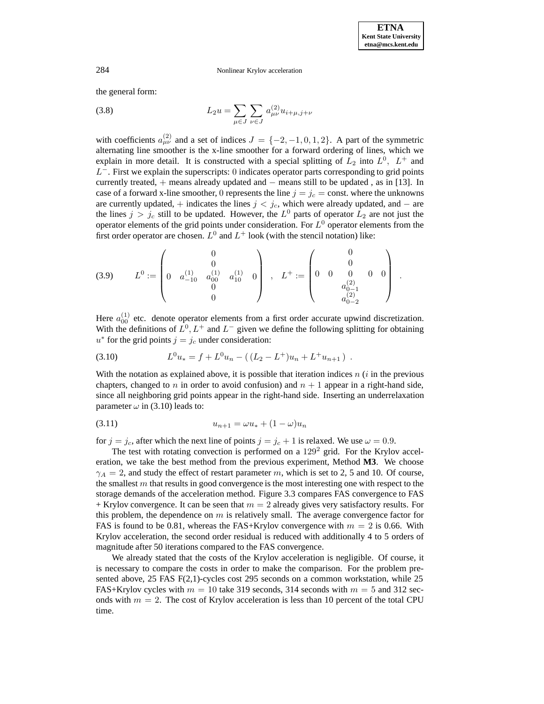the general form:

(3.8) 
$$
L_2 u = \sum_{\mu \in J} \sum_{\nu \in J} a_{\mu\nu}^{(2)} u_{i+\mu,j+\nu}
$$

with coefficients  $a_{\mu\nu}^{(2)}$  and a set of indices  $J = \{-2, -1, 0, 1, 2\}$ . A part of the symmetric alternating line smoother is the x-line smoother for a forward ordering of lines, which we explain in more detail. It is constructed with a special splitting of  $L_2$  into  $L^0$ ,  $L^+$  and  $L^-$ . First we explain the superscripts: 0 indicates operator parts corresponding to grid points currently treated, + means already updated and − means still to be updated , as in [13]. In case of a forward x-line smoother, 0 represents the line  $j = j_c$  = const. where the unknowns are currently updated, + indicates the lines  $j < j_c$ , which were already updated, and – are the lines  $j>j_c$  still to be updated. However, the  $L^0$  parts of operator  $L_2$  are not just the operator elements of the grid points under consideration. For  $L^0$  operator elements from the first order operator are chosen.  $L^0$  and  $L^+$  look (with the stencil notation) like:

$$
(3.9) \qquad L^{0} := \begin{pmatrix} 0 \\ 0 \\ 0 & a_{-10}^{(1)} & a_{00}^{(1)} & a_{10}^{(1)} & 0 \\ 0 & 0 & 0 & 0 \\ 0 & 0 & 0 & a_{0-1}^{(2)} \\ 0 & 0 & 0 & 0 \end{pmatrix}.
$$

Here  $a_{00}^{(1)}$  etc. denote operator elements from a first order accurate upwind discretization. With the definitions of  $L^0, L^+$  and  $L^-$  given we define the following splitting for obtaining  $u^*$  for the grid points  $j = j_c$  under consideration:

$$
(3.10) \tL0u* = f + L0un - ((L2 - L+)un + L+un+1).
$$

With the notation as explained above, it is possible that iteration indices  $n(i)$  in the previous chapters, changed to n in order to avoid confusion) and  $n + 1$  appear in a right-hand side, since all neighboring grid points appear in the right-hand side. Inserting an underrelaxation parameter  $\omega$  in (3.10) leads to:

$$
(3.11) \t\t\t u_{n+1} = \omega u_* + (1 - \omega) u_n
$$

for  $j = j_c$ , after which the next line of points  $j = j_c + 1$  is relaxed. We use  $\omega = 0.9$ .

The test with rotating convection is performed on a  $129<sup>2</sup>$  grid. For the Krylov acceleration, we take the best method from the previous experiment, Method **M3**. We choose  $\gamma_A = 2$ , and study the effect of restart parameter m, which is set to 2, 5 and 10. Of course, the smallest  $m$  that results in good convergence is the most interesting one with respect to the storage demands of the acceleration method. Figure 3.3 compares FAS convergence to FAS  $+$  Krylov convergence. It can be seen that  $m = 2$  already gives very satisfactory results. For this problem, the dependence on  $m$  is relatively small. The average convergence factor for FAS is found to be 0.81, whereas the FAS+Krylov convergence with  $m = 2$  is 0.66. With Krylov acceleration, the second order residual is reduced with additionally 4 to 5 orders of magnitude after 50 iterations compared to the FAS convergence.

We already stated that the costs of the Krylov acceleration is negligible. Of course, it is necessary to compare the costs in order to make the comparison. For the problem presented above, 25 FAS F(2,1)-cycles cost 295 seconds on a common workstation, while 25 FAS+Krylov cycles with  $m = 10$  take 319 seconds, 314 seconds with  $m = 5$  and 312 seconds with  $m = 2$ . The cost of Krylov acceleration is less than 10 percent of the total CPU time.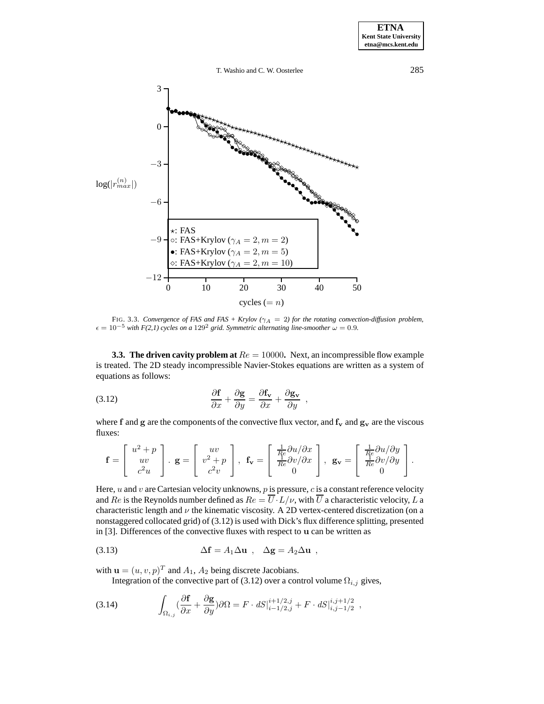285



FIG. 3.3. Convergence of FAS and FAS + Krylov ( $\gamma_A = 2$ ) for the rotating convection-diffusion problem,  $\epsilon = 10^{-5}$  with F(2,1) cycles on a 129<sup>2</sup> grid. Symmetric alternating line-smoother  $\omega = 0.9$ .

**3.3. The driven cavity problem at**  $Re = 10000$ . Next, an incompressible flow example is treated. The 2D steady incompressible Navier-Stokes equations are written as a system of equations as follows:

(3.12) 
$$
\frac{\partial \mathbf{f}}{\partial x} + \frac{\partial \mathbf{g}}{\partial y} = \frac{\partial \mathbf{f_v}}{\partial x} + \frac{\partial \mathbf{g_v}}{\partial y} ,
$$

where f and g are the components of the convective flux vector, and  $f_v$  and  $g_v$  are the viscous fluxes:

$$
\mathbf{f} = \begin{bmatrix} u^2 + p \\ uv \\ c^2 u \end{bmatrix} . \mathbf{g} = \begin{bmatrix} uv \\ v^2 + p \\ c^2 v \end{bmatrix}, \ \mathbf{f_v} = \begin{bmatrix} \frac{1}{R} \partial u / \partial x \\ \frac{1}{R} \partial v / \partial x \\ 0 \end{bmatrix}, \ \mathbf{g_v} = \begin{bmatrix} \frac{1}{R} \partial u / \partial y \\ \frac{1}{R} \partial v / \partial y \\ 0 \end{bmatrix}.
$$

Here,  $u$  and  $v$  are Cartesian velocity unknowns,  $p$  is pressure,  $c$  is a constant reference velocity and Re is the Reynolds number defined as  $Re = \overline{U} \cdot L/\nu$ , with  $\overline{U}$  a characteristic velocity, L a characteristic length and  $\nu$  the kinematic viscosity. A 2D vertex-centered discretization (on a nonstaggered collocated grid) of (3.12) is used with Dick's flux difference splitting, presented in [3]. Differences of the convective fluxes with respect to u can be written as

(3.13) 
$$
\Delta \mathbf{f} = A_1 \Delta \mathbf{u} , \quad \Delta \mathbf{g} = A_2 \Delta \mathbf{u} ,
$$

with  $\mathbf{u} = (u, v, p)^T$  and  $A_1$ ,  $A_2$  being discrete Jacobians.

Integration of the convective part of (3.12) over a control volume  $\Omega_{i,j}$  gives,

$$
(3.14) \qquad \int_{\Omega_{i,j}} (\frac{\partial \mathbf{f}}{\partial x} + \frac{\partial \mathbf{g}}{\partial y}) \partial \Omega = F \cdot dS \vert_{i-1/2,j}^{i+1/2,j} + F \cdot dS \vert_{i,j-1/2}^{i,j+1/2} ,
$$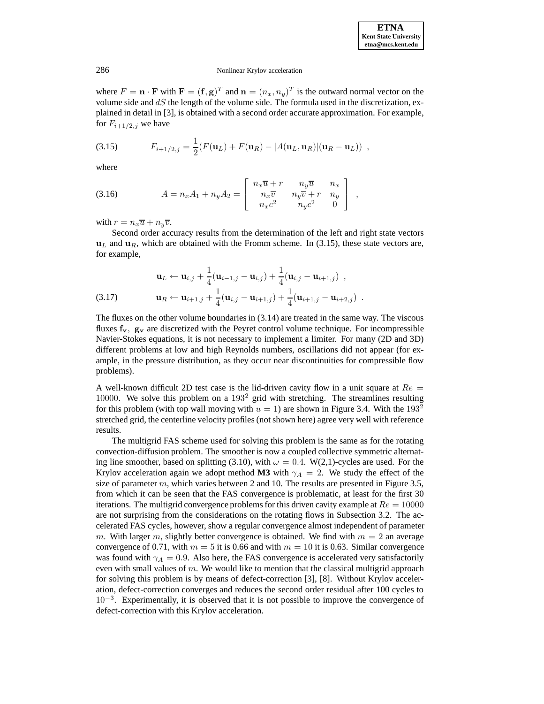where  $F = \mathbf{n} \cdot \mathbf{F}$  with  $\mathbf{F} = (\mathbf{f}, \mathbf{g})^T$  and  $\mathbf{n} = (n_x, n_y)^T$  is the outward normal vector on the volume side and  $dS$  the length of the volume side. The formula used in the discretization, explained in detail in [3], is obtained with a second order accurate approximation. For example, for  $F_{i+1/2,j}$  we have

(3.15) 
$$
F_{i+1/2,j} = \frac{1}{2}(F(\mathbf{u}_L) + F(\mathbf{u}_R) - |A(\mathbf{u}_L, \mathbf{u}_R)|(\mathbf{u}_R - \mathbf{u}_L)) ,
$$

where

(3.16) 
$$
A = n_x A_1 + n_y A_2 = \begin{bmatrix} n_x \overline{u} + r & n_y \overline{u} & n_x \\ n_x \overline{v} & n_y \overline{v} + r & n_y \\ n_x c^2 & n_y c^2 & 0 \end{bmatrix},
$$

with  $r = n_x\overline{u} + n_y\overline{v}$ .

Second order accuracy results from the determination of the left and right state vectors  $\mathbf{u}_L$  and  $\mathbf{u}_R$ , which are obtained with the Fromm scheme. In (3.15), these state vectors are, for example,

$$
\mathbf{u}_L \leftarrow \mathbf{u}_{i,j} + \frac{1}{4} (\mathbf{u}_{i-1,j} - \mathbf{u}_{i,j}) + \frac{1}{4} (\mathbf{u}_{i,j} - \mathbf{u}_{i+1,j}) ,
$$
\n(3.17) 
$$
\mathbf{u}_R \leftarrow \mathbf{u}_{i+1,j} + \frac{1}{4} (\mathbf{u}_{i,j} - \mathbf{u}_{i+1,j}) + \frac{1}{4} (\mathbf{u}_{i+1,j} - \mathbf{u}_{i+2,j}) .
$$

The fluxes on the other volume boundaries in (3.14) are treated in the same way. The viscous fluxes **fv**, **g<sup>v</sup>** are discretized with the Peyret control volume technique. For incompressible Navier-Stokes equations, it is not necessary to implement a limiter. For many (2D and 3D) different problems at low and high Reynolds numbers, oscillations did not appear (for example, in the pressure distribution, as they occur near discontinuities for compressible flow problems).

A well-known difficult 2D test case is the lid-driven cavity flow in a unit square at  $Re =$ 10000. We solve this problem on a 193<sup>2</sup> grid with stretching. The streamlines resulting for this problem (with top wall moving with  $u = 1$ ) are shown in Figure 3.4. With the 193<sup>2</sup> stretched grid, the centerline velocity profiles (not shown here) agree very well with reference results.

The multigrid FAS scheme used for solving this problem is the same as for the rotating convection-diffusion problem. The smoother is now a coupled collective symmetric alternating line smoother, based on splitting (3.10), with  $\omega = 0.4$ . W(2,1)-cycles are used. For the Krylov acceleration again we adopt method **M3** with  $\gamma_A = 2$ . We study the effect of the size of parameter m, which varies between 2 and 10. The results are presented in Figure 3.5, from which it can be seen that the FAS convergence is problematic, at least for the first 30 iterations. The multigrid convergence problems for this driven cavity example at  $Re = 10000$ are not surprising from the considerations on the rotating flows in Subsection 3.2. The accelerated FAS cycles, however, show a regular convergence almost independent of parameter m. With larger m, slightly better convergence is obtained. We find with  $m = 2$  an average convergence of 0.71, with  $m = 5$  it is 0.66 and with  $m = 10$  it is 0.63. Similar convergence was found with  $\gamma_A = 0.9$ . Also here, the FAS convergence is accelerated very satisfactorily even with small values of  $m$ . We would like to mention that the classical multigrid approach for solving this problem is by means of defect-correction [3], [8]. Without Krylov acceleration, defect-correction converges and reduces the second order residual after 100 cycles to 10<sup>−</sup><sup>3</sup>. Experimentally, it is observed that it is not possible to improve the convergence of defect-correction with this Krylov acceleration.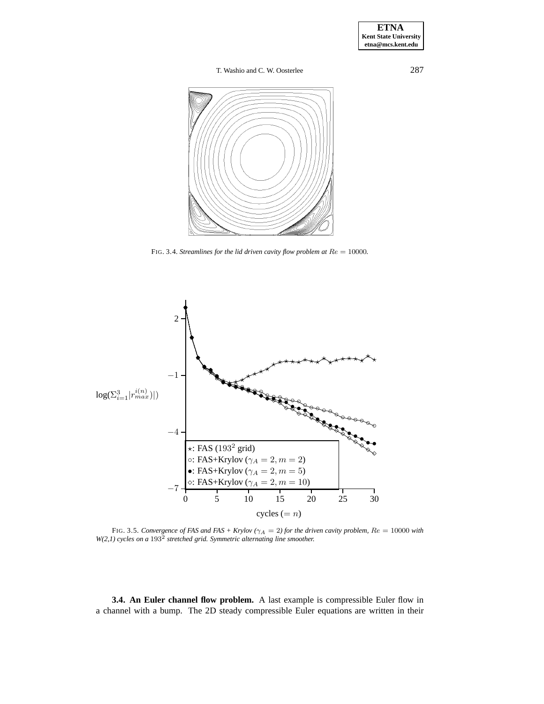

FIG. 3.4. Streamlines for the lid driven cavity flow problem at  $Re = 10000$ .



FIG. 3.5. Convergence of FAS and FAS + Krylov ( $\gamma_A = 2$ ) for the driven cavity problem,  $Re = 10000$  with  $W(2,1)$  cycles on a 193<sup>2</sup> stretched grid. Symmetric alternating line smoother.

3.4. An Euler channel flow problem. A last example is compressible Euler flow in a channel with a bump. The 2D steady compressible Euler equations are written in their

287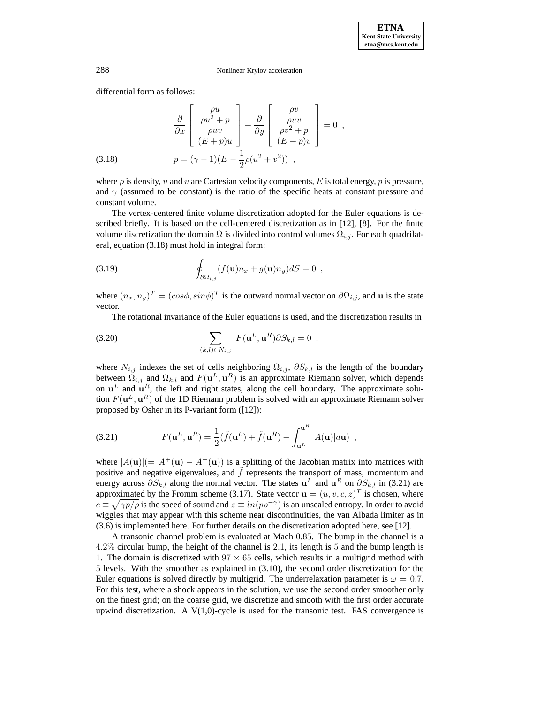differential form as follows:

(3.18) 
$$
\frac{\partial}{\partial x} \begin{bmatrix} \rho u \\ \rho u^2 + p \\ \rho u v \\ (E + p)u \end{bmatrix} + \frac{\partial}{\partial y} \begin{bmatrix} \rho v \\ \rho u v \\ \rho v^2 + p \\ (E + p)v \end{bmatrix} = 0 ,
$$

$$
p = (\gamma - 1)(E - \frac{1}{2}\rho(u^2 + v^2)) ,
$$

where  $\rho$  is density, u and v are Cartesian velocity components, E is total energy, p is pressure, and  $\gamma$  (assumed to be constant) is the ratio of the specific heats at constant pressure and constant volume.

The vertex-centered finite volume discretization adopted for the Euler equations is described briefly. It is based on the cell-centered discretization as in [12], [8]. For the finite volume discretization the domain  $\Omega$  is divided into control volumes  $\Omega_{i,j}$ . For each quadrilateral, equation (3.18) must hold in integral form:

(3.19) 
$$
\oint_{\partial \Omega_{i,j}} (f(\mathbf{u}) n_x + g(\mathbf{u}) n_y) dS = 0 ,
$$

where  $(n_x,n_y)^T = (cos\phi, sin\phi)^T$  is the outward normal vector on  $\partial\Omega_{i,j}$ , and **u** is the state vector.

The rotational invariance of the Euler equations is used, and the discretization results in

(3.20) 
$$
\sum_{(k,l)\in N_{i,j}} F(\mathbf{u}^L, \mathbf{u}^R) \partial S_{k,l} = 0 ,
$$

where  $N_{i,j}$  indexes the set of cells neighboring  $\Omega_{i,j}$ ,  $\partial S_{k,l}$  is the length of the boundary between  $\Omega_{i,j}$  and  $\Omega_{k,l}$  and  $F(\mathbf{u}^L, \mathbf{u}^R)$  is an approximate Riemann solver, which depends on  $\mathbf{u}^L$  and  $\mathbf{u}^R$ , the left and right states, along the cell boundary. The approximate solution  $F(\mathbf{u}^L, \mathbf{u}^R)$  of the 1D Riemann problem is solved with an approximate Riemann solver proposed by Osher in its P-variant form ([12]):

(3.21) 
$$
F(\mathbf{u}^L, \mathbf{u}^R) = \frac{1}{2}(\tilde{f}(\mathbf{u}^L) + \tilde{f}(\mathbf{u}^R) - \int_{\mathbf{u}^L}^{\mathbf{u}^R} |A(\mathbf{u})| d\mathbf{u}),
$$

where  $|A(\mathbf{u})| = A^+(\mathbf{u}) - A^-(\mathbf{u})$  is a splitting of the Jacobian matrix into matrices with positive and negative eigenvalues, and  $\hat{f}$  represents the transport of mass, momentum and energy across  $\partial S_{k,l}$  along the normal vector. The states **u**<sup>L</sup> and **u**<sup>R</sup> on  $\partial S_{k,l}$  in (3.21) are approximated by the Fromm scheme (3.17). State vector  $\mathbf{u} = (u, v, c, z)^T$  is chosen, where  $c \equiv \sqrt{\gamma p/\rho}$  is the speed of sound and  $z \equiv ln(p\rho^{-\gamma})$  is an unscaled entropy. In order to avoid wiggles that may appear with this scheme near discontinuities, the van Albada limiter as in (3.6) is implemented here. For further details on the discretization adopted here, see [12].

A transonic channel problem is evaluated at Mach 0.85. The bump in the channel is a 4.2% circular bump, the height of the channel is 2.1, its length is 5 and the bump length is 1. The domain is discretized with  $97 \times 65$  cells, which results in a multigrid method with 5 levels. With the smoother as explained in (3.10), the second order discretization for the Euler equations is solved directly by multigrid. The underrelaxation parameter is  $\omega = 0.7$ . For this test, where a shock appears in the solution, we use the second order smoother only on the finest grid; on the coarse grid, we discretize and smooth with the first order accurate upwind discretization. A  $V(1,0)$ -cycle is used for the transonic test. FAS convergence is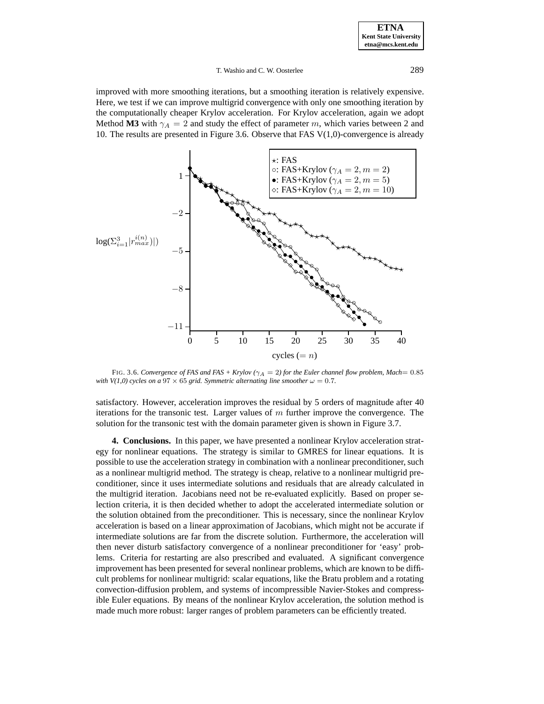## T. Washio and C. W. Oosterlee 289

improved with more smoothing iterations, but a smoothing iteration is relatively expensive. Here, we test if we can improve multigrid convergence with only one smoothing iteration by the computationally cheaper Krylov acceleration. For Krylov acceleration, again we adopt Method **M3** with  $\gamma_A = 2$  and study the effect of parameter m, which varies between 2 and 10. The results are presented in Figure 3.6. Observe that FAS  $V(1,0)$ -convergence is already



FIG. 3.6. Convergence of FAS and FAS + Krylov ( $\gamma_A = 2$ ) for the Euler channel flow problem, Mach= 0.85 *with V(1,0) cycles on a*  $97 \times 65$  *grid. Symmetric alternating line smoother*  $\omega = 0.7$ *.* 

satisfactory. However, acceleration improves the residual by 5 orders of magnitude after 40 iterations for the transonic test. Larger values of  $m$  further improve the convergence. The solution for the transonic test with the domain parameter given is shown in Figure 3.7.

**4. Conclusions.** In this paper, we have presented a nonlinear Krylov acceleration strategy for nonlinear equations. The strategy is similar to GMRES for linear equations. It is possible to use the acceleration strategy in combination with a nonlinear preconditioner, such as a nonlinear multigrid method. The strategy is cheap, relative to a nonlinear multigrid preconditioner, since it uses intermediate solutions and residuals that are already calculated in the multigrid iteration. Jacobians need not be re-evaluated explicitly. Based on proper selection criteria, it is then decided whether to adopt the accelerated intermediate solution or the solution obtained from the preconditioner. This is necessary, since the nonlinear Krylov acceleration is based on a linear approximation of Jacobians, which might not be accurate if intermediate solutions are far from the discrete solution. Furthermore, the acceleration will then never disturb satisfactory convergence of a nonlinear preconditioner for 'easy' problems. Criteria for restarting are also prescribed and evaluated. A significant convergence improvement has been presented for several nonlinear problems, which are known to be difficult problems for nonlinear multigrid: scalar equations, like the Bratu problem and a rotating convection-diffusion problem, and systems of incompressible Navier-Stokes and compressible Euler equations. By means of the nonlinear Krylov acceleration, the solution method is made much more robust: larger ranges of problem parameters can be efficiently treated.